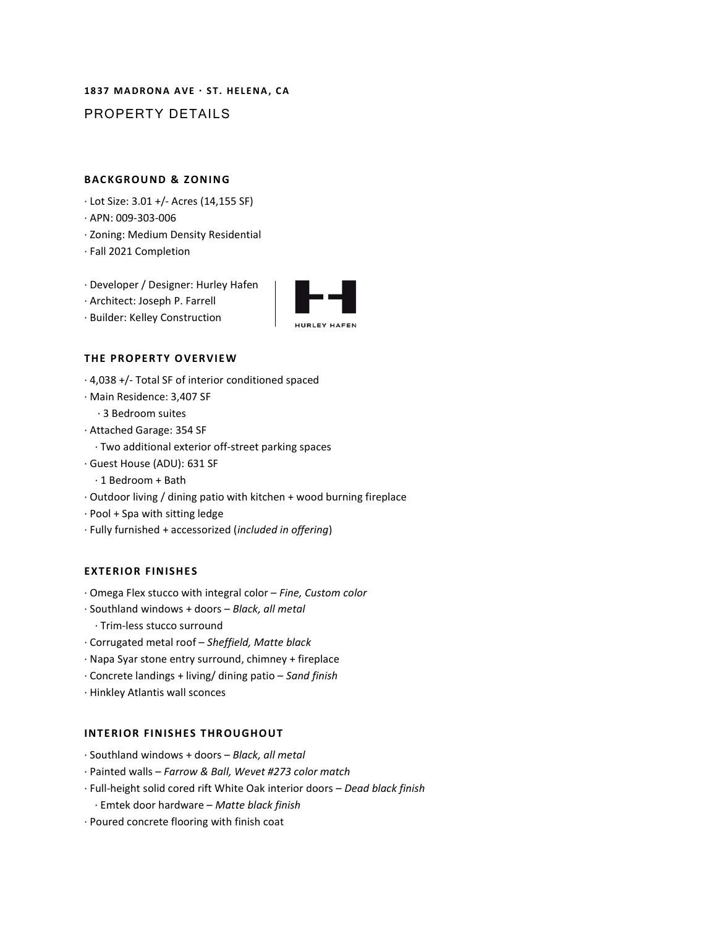# 1837 MADRONA AVE · ST. HELENA, CA PROPERTY DETAILS

# **BACKGROUND & ZONING**

- ∙ Lot Size: 3.01 +/- Acres (14,155 SF)
- ∙ APN: 009-303-006
- ∙ Zoning: Medium Density Residential
- ∙ Fall 2021 Completion
- ∙ Developer / Designer: Hurley Hafen
- ∙ Architect: Joseph P. Farrell
- ∙ Builder: Kelley Construction



## THE PROPERTY OVERVIEW

- ∙ 4,038 +/- Total SF of interior conditioned spaced
- ∙ Main Residence: 3,407 SF
	- ∙ 3 Bedroom suites
- ∙ Attached Garage: 354 SF
- ∙ Two additional exterior off-street parking spaces
- ∙ Guest House (ADU): 631 SF
	- ∙ 1 Bedroom + Bath
- ∙ Outdoor living / dining patio with kitchen + wood burning fireplace
- ∙ Pool + Spa with sitting ledge
- ∙ Fully furnished + accessorized (included in offering)

# **EXTERIOR FINISHES**

- ∙ Omega Flex stucco with integral color Fine, Custom color
- ∙ Southland windows + doors Black, all metal
	- ∙ Trim-less stucco surround
- ∙ Corrugated metal roof Sheffield, Matte black
- ∙ Napa Syar stone entry surround, chimney + fireplace
- ∙ Concrete landings + living/ dining patio Sand finish
- ∙ Hinkley Atlantis wall sconces

# INTERIOR FINISHES THROUGHOUT

- ∙ Southland windows + doors Black, all metal
- ∙ Painted walls Farrow & Ball, Wevet #273 color match
- ∙ Full-height solid cored rift White Oak interior doors Dead black finish
	- ∙ Emtek door hardware Matte black finish
- ∙ Poured concrete flooring with finish coat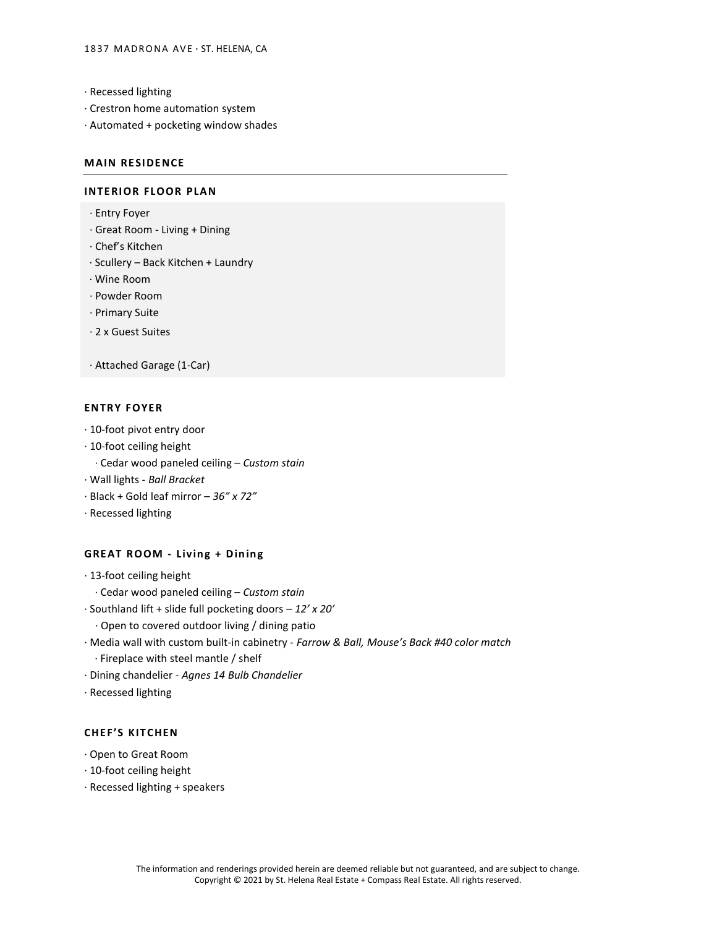- ∙ Recessed lighting
- ∙ Crestron home automation system
- ∙ Automated + pocketing window shades

## **MAIN RESIDENCE**

#### INTERIOR FLOOR PLAN

- ∙ Entry Foyer
- ∙ Great Room Living + Dining
- ∙ Chef's Kitchen
- ∙ Scullery Back Kitchen + Laundry
- ∙ Wine Room
- ∙ Powder Room
- ∙ Primary Suite
- ∙ 2 x Guest Suites
- ∙ Attached Garage (1-Car)

#### **ENTRY FOYER**

- ∙ 10-foot pivot entry door
- ∙ 10-foot ceiling height
	- ∙ Cedar wood paneled ceiling Custom stain
- ∙ Wall lights Ball Bracket
- ∙ Black + Gold leaf mirror 36" x 72"
- ∙ Recessed lighting

# GREAT ROOM - Living + Dining

- ∙ 13-foot ceiling height
	- ∙ Cedar wood paneled ceiling Custom stain
- ∙ Southland lift + slide full pocketing doors 12' x 20'
	- ∙ Open to covered outdoor living / dining patio
- ∙ Media wall with custom built-in cabinetry Farrow & Ball, Mouse's Back #40 color match
	- ∙ Fireplace with steel mantle / shelf
- ∙ Dining chandelier Agnes 14 Bulb Chandelier
- ∙ Recessed lighting

## **CHEF'S KITCHEN**

- ∙ Open to Great Room
- ∙ 10-foot ceiling height
- ∙ Recessed lighting + speakers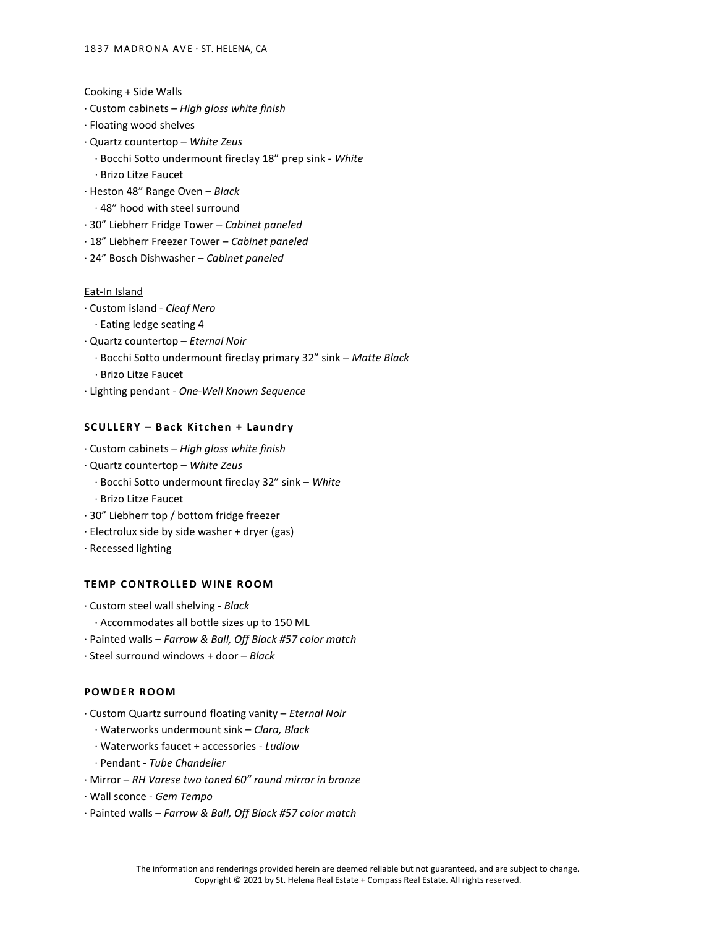- Cooking + Side Walls
- ∙ Custom cabinets High gloss white finish
- ∙ Floating wood shelves
- ∙ Quartz countertop White Zeus
	- ∙ Bocchi Sotto undermount fireclay 18" prep sink White
	- ∙ Brizo Litze Faucet
- ∙ Heston 48" Range Oven Black
- ∙ 48" hood with steel surround
- ∙ 30" Liebherr Fridge Tower Cabinet paneled
- ∙ 18" Liebherr Freezer Tower Cabinet paneled
- ∙ 24" Bosch Dishwasher Cabinet paneled

## Eat-In Island

- ∙ Custom island Cleaf Nero
	- ∙ Eating ledge seating 4
- ∙ Quartz countertop Eternal Noir
	- ∙ Bocchi Sotto undermount fireclay primary 32" sink Matte Black
	- ∙ Brizo Litze Faucet
- ∙ Lighting pendant One-Well Known Sequence

## SCULLERY - Back Kitchen + Laundry

- ∙ Custom cabinets High gloss white finish
- ∙ Quartz countertop White Zeus
	- ∙ Bocchi Sotto undermount fireclay 32" sink White
	- ∙ Brizo Litze Faucet
- ∙ 30" Liebherr top / bottom fridge freezer
- ∙ Electrolux side by side washer + dryer (gas)
- ∙ Recessed lighting

# **TEMP CONTROLLED WINE ROOM**

- ∙ Custom steel wall shelving Black
- ∙ Accommodates all bottle sizes up to 150 ML
- ∙ Painted walls Farrow & Ball, Off Black #57 color match
- ∙ Steel surround windows + door Black

# POW DER ROOM

- ∙ Custom Quartz surround floating vanity Eternal Noir
	- ∙ Waterworks undermount sink Clara, Black
	- ∙ Waterworks faucet + accessories Ludlow
	- ∙ Pendant Tube Chandelier
- ∙ Mirror RH Varese two toned 60" round mirror in bronze
- ∙ Wall sconce Gem Tempo
- ∙ Painted walls Farrow & Ball, Off Black #57 color match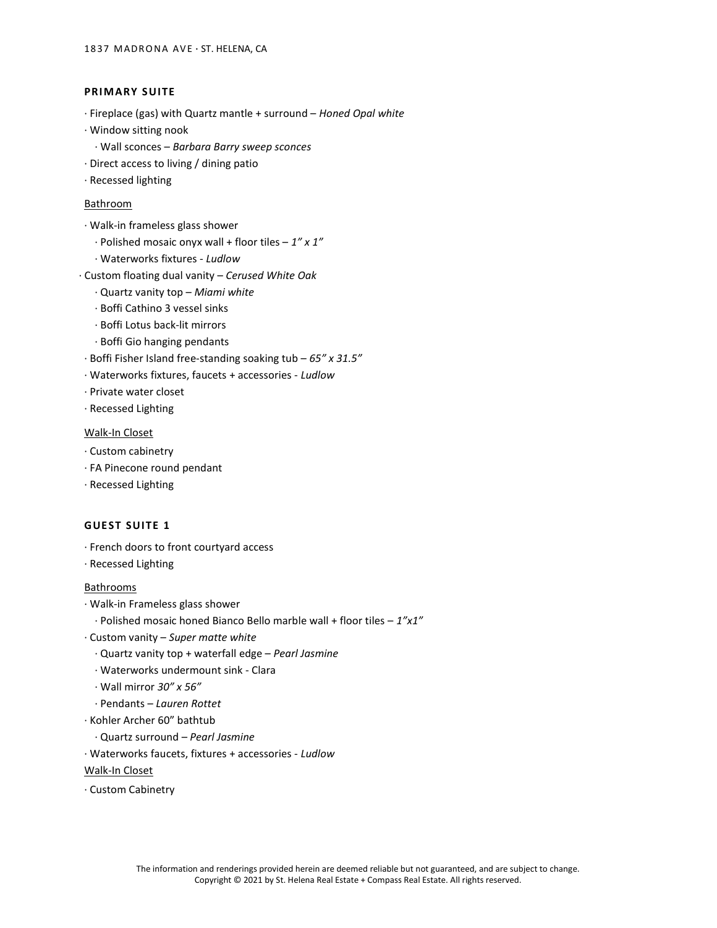# PRIMARY SUITE

- ∙ Fireplace (gas) with Quartz mantle + surround Honed Opal white
- ∙ Window sitting nook
- ∙ Wall sconces Barbara Barry sweep sconces
- ∙ Direct access to living / dining patio
- ∙ Recessed lighting

#### Bathroom

- ∙ Walk-in frameless glass shower
	- $\cdot$  Polished mosaic onyx wall + floor tiles 1" x 1"
	- ∙ Waterworks fixtures Ludlow
- ∙ Custom floating dual vanity Cerused White Oak
	- ∙ Quartz vanity top Miami white
	- ∙ Boffi Cathino 3 vessel sinks
	- ∙ Boffi Lotus back-lit mirrors
	- ∙ Boffi Gio hanging pendants
- ∙ Boffi Fisher Island free-standing soaking tub 65" x 31.5"
- ∙ Waterworks fixtures, faucets + accessories Ludlow
- ∙ Private water closet
- ∙ Recessed Lighting

#### Walk-In Closet

- ∙ Custom cabinetry
- ∙ FA Pinecone round pendant
- ∙ Recessed Lighting

## **GUEST SUITE 1**

- ∙ French doors to front courtyard access
- ∙ Recessed Lighting

#### Bathrooms

- ∙ Walk-in Frameless glass shower
- ∙ Polished mosaic honed Bianco Bello marble wall + floor tiles 1"x1"
- ∙ Custom vanity Super matte white
- ∙ Quartz vanity top + waterfall edge Pearl Jasmine
- ∙ Waterworks undermount sink Clara
- ∙ Wall mirror 30" x 56"
- ∙ Pendants Lauren Rottet
- ∙ Kohler Archer 60" bathtub
	- ∙ Quartz surround Pearl Jasmine
- ∙ Waterworks faucets, fixtures + accessories Ludlow

Walk-In Closet

∙ Custom Cabinetry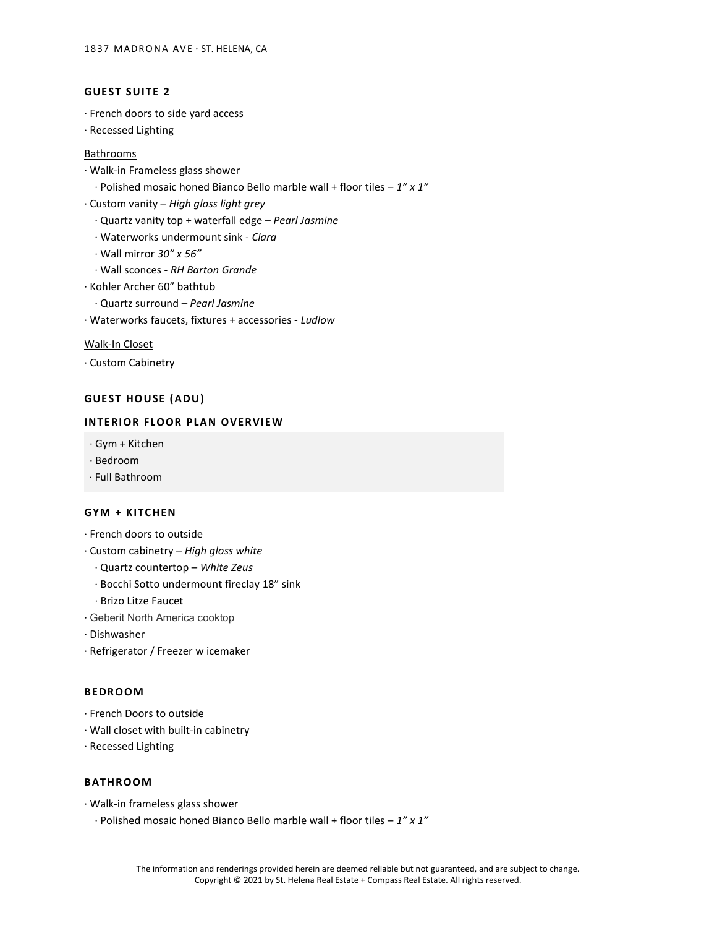# **GUEST SUITE 2**

- ∙ French doors to side yard access
- ∙ Recessed Lighting

# **Bathrooms**

- ∙ Walk-in Frameless glass shower
	- ∙ Polished mosaic honed Bianco Bello marble wall + floor tiles 1" x 1"
- ∙ Custom vanity High gloss light grey
	- ∙ Quartz vanity top + waterfall edge Pearl Jasmine
	- ∙ Waterworks undermount sink Clara
	- ∙ Wall mirror 30" x 56"
	- ∙ Wall sconces RH Barton Grande
- ∙ Kohler Archer 60" bathtub
	- ∙ Quartz surround Pearl Jasmine
- ∙ Waterworks faucets, fixtures + accessories Ludlow

#### Walk-In Closet

∙ Custom Cabinetry

#### **GUEST HOUSE (ADU)**

## INTERIOR FLOOR PLAN OVERVIEW

- ∙ Gym + Kitchen
- ∙ Bedroom
- ∙ Full Bathroom

## GYM + KITCHEN

- ∙ French doors to outside
- ∙ Custom cabinetry High gloss white
	- ∙ Quartz countertop White Zeus
	- ∙ Bocchi Sotto undermount fireclay 18" sink
	- ∙ Brizo Litze Faucet
- ∙ Geberit North America cooktop
- ∙ Dishwasher
- ∙ Refrigerator / Freezer w icemaker

# **BEDROOM**

- ∙ French Doors to outside
- ∙ Wall closet with built-in cabinetry
- ∙ Recessed Lighting

#### **BATHROOM**

- ∙ Walk-in frameless glass shower
	- ∙ Polished mosaic honed Bianco Bello marble wall + floor tiles 1" x 1"